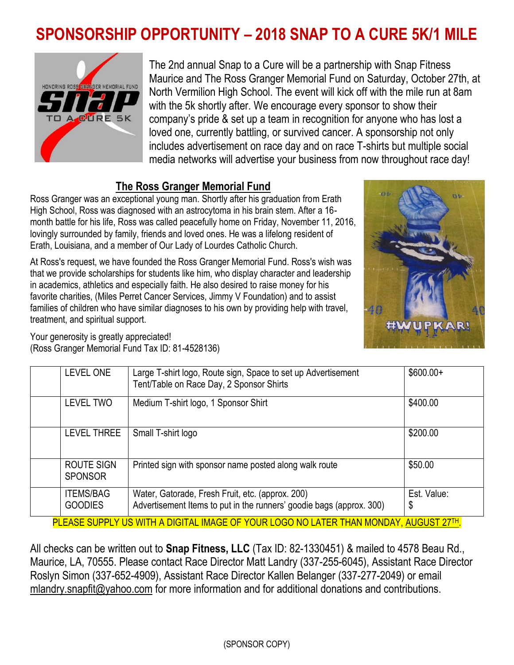## **SPONSORSHIP OPPORTUNITY – 2018 SNAP TO A CURE 5K/1 MILE**



The 2nd annual Snap to a Cure will be a partnership with Snap Fitness Maurice and The Ross Granger Memorial Fund on Saturday, October 27th, at North Vermilion High School. The event will kick off with the mile run at 8am with the 5k shortly after. We encourage every sponsor to show their company's pride & set up a team in recognition for anyone who has lost a loved one, currently battling, or survived cancer. A sponsorship not only includes advertisement on race day and on race T-shirts but multiple social media networks will advertise your business from now throughout race day!

## **The Ross Granger Memorial Fund**

Ross Granger was an exceptional young man. Shortly after his graduation from Erath High School, Ross was diagnosed with an astrocytoma in his brain stem. After a 16 month battle for his life, Ross was called peacefully home on Friday, November 11, 2016, lovingly surrounded by family, friends and loved ones. He was a lifelong resident of Erath, Louisiana, and a member of Our Lady of Lourdes Catholic Church.

At Ross's request, we have founded the Ross Granger Memorial Fund. Ross's wish was that we provide scholarships for students like him, who display character and leadership in academics, athletics and especially faith. He also desired to raise money for his favorite charities, (Miles Perret Cancer Services, Jimmy V Foundation) and to assist families of children who have similar diagnoses to his own by providing help with travel, treatment, and spiritual support.



Your generosity is greatly appreciated! (Ross Granger Memorial Fund Tax ID: 81-4528136)

| <b>LEVEL ONE</b>                   | Large T-shirt logo, Route sign, Space to set up Advertisement<br>Tent/Table on Race Day, 2 Sponsor Shirts                | $$600.00+$        |
|------------------------------------|--------------------------------------------------------------------------------------------------------------------------|-------------------|
| <b>LEVEL TWO</b>                   | Medium T-shirt logo, 1 Sponsor Shirt                                                                                     | \$400.00          |
| <b>LEVEL THREE</b>                 | Small T-shirt logo                                                                                                       | \$200.00          |
| ROUTE SIGN<br><b>SPONSOR</b>       | Printed sign with sponsor name posted along walk route                                                                   | \$50.00           |
| <b>ITEMS/BAG</b><br><b>GOODIES</b> | Water, Gatorade, Fresh Fruit, etc. (approx. 200)<br>Advertisement Items to put in the runners' goodie bags (approx. 300) | Est. Value:<br>\$ |

PLEASE SUPPLY US WITH A DIGITAL IMAGE OF YOUR LOGO NO LATER THAN MONDAY, AUGUST 27TH.

All checks can be written out to **Snap Fitness, LLC** (Tax ID: 82-1330451) & mailed to 4578 Beau Rd., Maurice, LA, 70555. Please contact Race Director Matt Landry (337-255-6045), Assistant Race Director Roslyn Simon (337-652-4909), Assistant Race Director Kallen Belanger (337-277-2049) or email mlandry.snapfit@yahoo.com for more information and for additional donations and contributions.